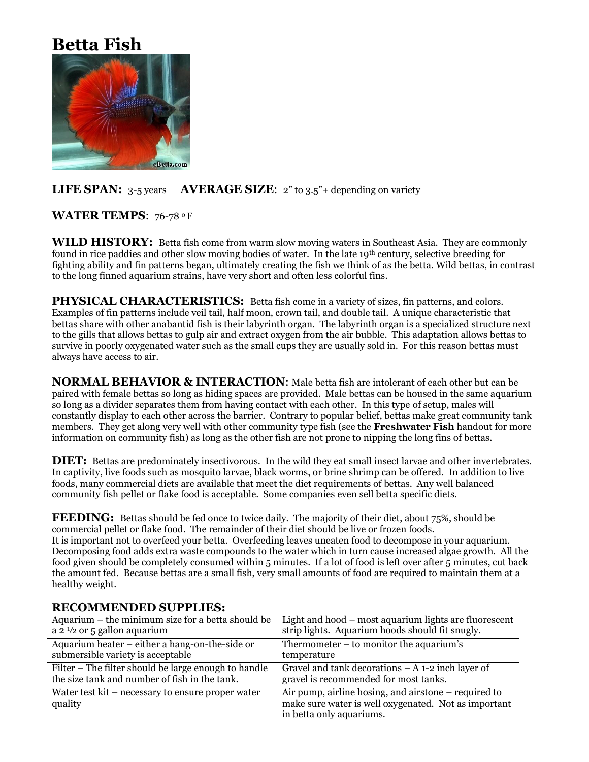# **Betta Fish**



# **LIFE SPAN:** 3-5 years **AVERAGE SIZE:** 2" to 3.5"+ depending on variety

# **WATER TEMPS**: 76-78 <sup>0</sup> F

**WILD HISTORY:** Betta fish come from warm slow moving waters in Southeast Asia. They are commonly found in rice paddies and other slow moving bodies of water. In the late 19th century, selective breeding for fighting ability and fin patterns began, ultimately creating the fish we think of as the betta. Wild bettas, in contrast to the long finned aquarium strains, have very short and often less colorful fins.

**PHYSICAL CHARACTERISTICS:** Betta fish come in a variety of sizes, fin patterns, and colors. Examples of fin patterns include veil tail, half moon, crown tail, and double tail. A unique characteristic that bettas share with other anabantid fish is their labyrinth organ. The labyrinth organ is a specialized structure next to the gills that allows bettas to gulp air and extract oxygen from the air bubble. This adaptation allows bettas to survive in poorly oxygenated water such as the small cups they are usually sold in. For this reason bettas must always have access to air.

**NORMAL BEHAVIOR & INTERACTION**: Male betta fish are intolerant of each other but can be paired with female bettas so long as hiding spaces are provided. Male bettas can be housed in the same aquarium so long as a divider separates them from having contact with each other. In this type of setup, males will constantly display to each other across the barrier. Contrary to popular belief, bettas make great community tank members. They get along very well with other community type fish (see the **Freshwater Fish** handout for more information on community fish) as long as the other fish are not prone to nipping the long fins of bettas.

**DIET:** Bettas are predominately insectivorous. In the wild they eat small insect larvae and other invertebrates. In captivity, live foods such as mosquito larvae, black worms, or brine shrimp can be offered. In addition to live foods, many commercial diets are available that meet the diet requirements of bettas. Any well balanced community fish pellet or flake food is acceptable. Some companies even sell betta specific diets.

**FEEDING:** Bettas should be fed once to twice daily. The majority of their diet, about 75%, should be commercial pellet or flake food. The remainder of their diet should be live or frozen foods. It is important not to overfeed your betta. Overfeeding leaves uneaten food to decompose in your aquarium. Decomposing food adds extra waste compounds to the water which in turn cause increased algae growth. All the food given should be completely consumed within 5 minutes. If a lot of food is left over after 5 minutes, cut back the amount fed. Because bettas are a small fish, very small amounts of food are required to maintain them at a healthy weight.

| Aquarium – the minimum size for a betta should be            | Light and hood – most aquarium lights are fluorescent                                                                                      |  |
|--------------------------------------------------------------|--------------------------------------------------------------------------------------------------------------------------------------------|--|
| a 2 $\frac{1}{2}$ or 5 gallon aquarium                       | strip lights. Aquarium hoods should fit snugly.                                                                                            |  |
| Aquarium heater – either a hang-on-the-side or               | Thermometer $-$ to monitor the aquarium's                                                                                                  |  |
| submersible variety is acceptable                            | temperature                                                                                                                                |  |
| Filter – The filter should be large enough to handle         | Gravel and tank decorations $- A 1-2$ inch layer of                                                                                        |  |
| the size tank and number of fish in the tank.                | gravel is recommended for most tanks.                                                                                                      |  |
| Water test kit – necessary to ensure proper water<br>quality | Air pump, airline hosing, and airstone $-$ required to<br>make sure water is well oxygenated. Not as important<br>in betta only aquariums. |  |

#### **RECOMMENDED SUPPLIES:**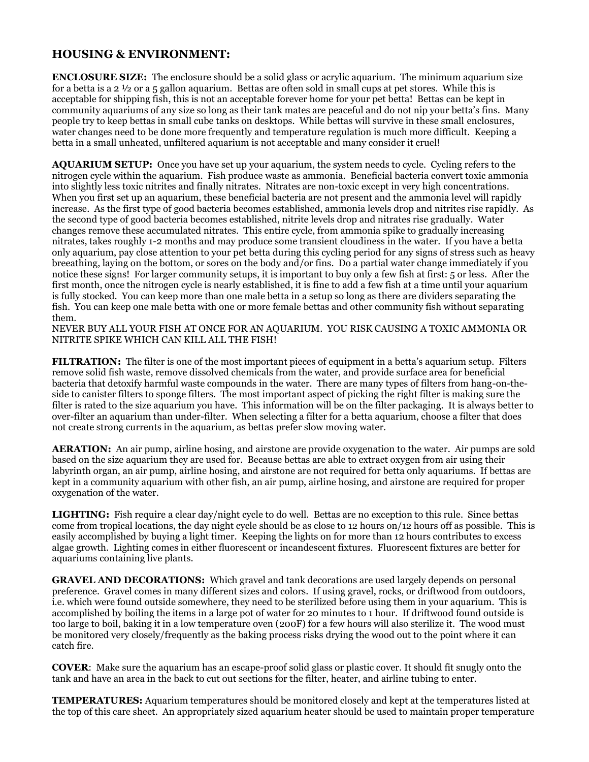## **HOUSING & ENVIRONMENT:**

**ENCLOSURE SIZE:** The enclosure should be a solid glass or acrylic aquarium. The minimum aquarium size for a betta is a 2 ½ or a 5 gallon aquarium. Bettas are often sold in small cups at pet stores. While this is acceptable for shipping fish, this is not an acceptable forever home for your pet betta! Bettas can be kept in community aquariums of any size so long as their tank mates are peaceful and do not nip your betta's fins. Many people try to keep bettas in small cube tanks on desktops. While bettas will survive in these small enclosures, water changes need to be done more frequently and temperature regulation is much more difficult. Keeping a betta in a small unheated, unfiltered aquarium is not acceptable and many consider it cruel!

**AQUARIUM SETUP:** Once you have set up your aquarium, the system needs to cycle. Cycling refers to the nitrogen cycle within the aquarium. Fish produce waste as ammonia. Beneficial bacteria convert toxic ammonia into slightly less toxic nitrites and finally nitrates. Nitrates are non-toxic except in very high concentrations. When you first set up an aquarium, these beneficial bacteria are not present and the ammonia level will rapidly increase. As the first type of good bacteria becomes established, ammonia levels drop and nitrites rise rapidly. As the second type of good bacteria becomes established, nitrite levels drop and nitrates rise gradually. Water changes remove these accumulated nitrates. This entire cycle, from ammonia spike to gradually increasing nitrates, takes roughly 1-2 months and may produce some transient cloudiness in the water. If you have a betta only aquarium, pay close attention to your pet betta during this cycling period for any signs of stress such as heavy breeathing, laying on the bottom, or sores on the body and/or fins. Do a partial water change immediately if you notice these signs! For larger community setups, it is important to buy only a few fish at first: 5 or less. After the first month, once the nitrogen cycle is nearly established, it is fine to add a few fish at a time until your aquarium is fully stocked. You can keep more than one male betta in a setup so long as there are dividers separating the fish. You can keep one male betta with one or more female bettas and other community fish without separating them.

NEVER BUY ALL YOUR FISH AT ONCE FOR AN AQUARIUM. YOU RISK CAUSING A TOXIC AMMONIA OR NITRITE SPIKE WHICH CAN KILL ALL THE FISH!

**FILTRATION:** The filter is one of the most important pieces of equipment in a betta's aquarium setup. Filters remove solid fish waste, remove dissolved chemicals from the water, and provide surface area for beneficial bacteria that detoxify harmful waste compounds in the water. There are many types of filters from hang-on-theside to canister filters to sponge filters. The most important aspect of picking the right filter is making sure the filter is rated to the size aquarium you have. This information will be on the filter packaging. It is always better to over-filter an aquarium than under-filter. When selecting a filter for a betta aquarium, choose a filter that does not create strong currents in the aquarium, as bettas prefer slow moving water.

**AERATION:** An air pump, airline hosing, and airstone are provide oxygenation to the water. Air pumps are sold based on the size aquarium they are used for. Because bettas are able to extract oxygen from air using their labyrinth organ, an air pump, airline hosing, and airstone are not required for betta only aquariums. If bettas are kept in a community aquarium with other fish, an air pump, airline hosing, and airstone are required for proper oxygenation of the water.

**LIGHTING:** Fish require a clear day/night cycle to do well. Bettas are no exception to this rule. Since bettas come from tropical locations, the day night cycle should be as close to 12 hours on/12 hours off as possible. This is easily accomplished by buying a light timer. Keeping the lights on for more than 12 hours contributes to excess algae growth. Lighting comes in either fluorescent or incandescent fixtures. Fluorescent fixtures are better for aquariums containing live plants.

**GRAVEL AND DECORATIONS:** Which gravel and tank decorations are used largely depends on personal preference. Gravel comes in many different sizes and colors. If using gravel, rocks, or driftwood from outdoors, i.e. which were found outside somewhere, they need to be sterilized before using them in your aquarium. This is accomplished by boiling the items in a large pot of water for 20 minutes to 1 hour. If driftwood found outside is too large to boil, baking it in a low temperature oven (200F) for a few hours will also sterilize it. The wood must be monitored very closely/frequently as the baking process risks drying the wood out to the point where it can catch fire.

**COVER**: Make sure the aquarium has an escape-proof solid glass or plastic cover. It should fit snugly onto the tank and have an area in the back to cut out sections for the filter, heater, and airline tubing to enter.

**TEMPERATURES:** Aquarium temperatures should be monitored closely and kept at the temperatures listed at the top of this care sheet. An appropriately sized aquarium heater should be used to maintain proper temperature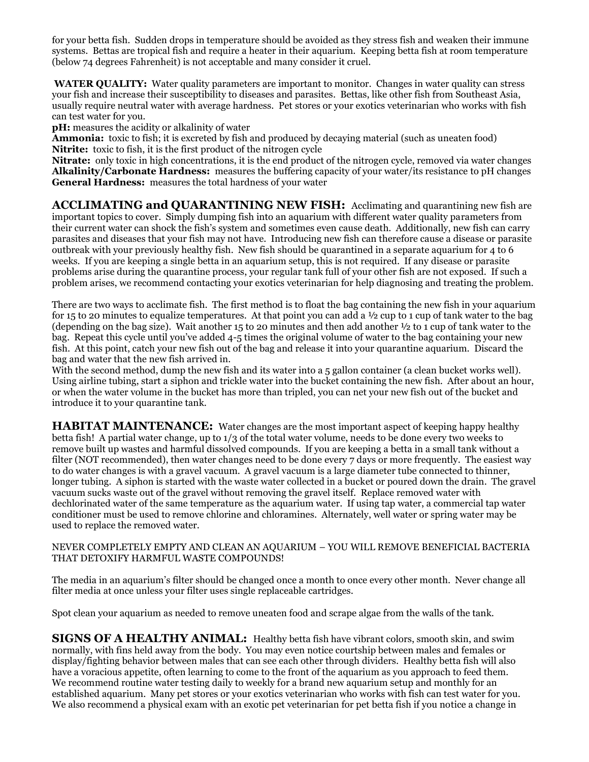for your betta fish. Sudden drops in temperature should be avoided as they stress fish and weaken their immune systems. Bettas are tropical fish and require a heater in their aquarium. Keeping betta fish at room temperature (below 74 degrees Fahrenheit) is not acceptable and many consider it cruel.

**WATER QUALITY:** Water quality parameters are important to monitor. Changes in water quality can stress your fish and increase their susceptibility to diseases and parasites. Bettas, like other fish from Southeast Asia, usually require neutral water with average hardness. Pet stores or your exotics veterinarian who works with fish can test water for you.

**pH:** measures the acidity or alkalinity of water

**Ammonia:** toxic to fish; it is excreted by fish and produced by decaying material (such as uneaten food) **Nitrite:** toxic to fish, it is the first product of the nitrogen cycle

**Nitrate:** only toxic in high concentrations, it is the end product of the nitrogen cycle, removed via water changes **Alkalinity/Carbonate Hardness:** measures the buffering capacity of your water/its resistance to pH changes **General Hardness:** measures the total hardness of your water

**ACCLIMATING and QUARANTINING NEW FISH:** Acclimating and quarantining new fish are important topics to cover. Simply dumping fish into an aquarium with different water quality parameters from their current water can shock the fish's system and sometimes even cause death. Additionally, new fish can carry parasites and diseases that your fish may not have. Introducing new fish can therefore cause a disease or parasite outbreak with your previously healthy fish. New fish should be quarantined in a separate aquarium for 4 to 6 weeks. If you are keeping a single betta in an aquarium setup, this is not required. If any disease or parasite problems arise during the quarantine process, your regular tank full of your other fish are not exposed. If such a problem arises, we recommend contacting your exotics veterinarian for help diagnosing and treating the problem.

There are two ways to acclimate fish. The first method is to float the bag containing the new fish in your aquarium for 15 to 20 minutes to equalize temperatures. At that point you can add a ½ cup to 1 cup of tank water to the bag (depending on the bag size). Wait another 15 to 20 minutes and then add another ½ to 1 cup of tank water to the bag. Repeat this cycle until you've added 4-5 times the original volume of water to the bag containing your new fish. At this point, catch your new fish out of the bag and release it into your quarantine aquarium. Discard the bag and water that the new fish arrived in.

With the second method, dump the new fish and its water into a 5 gallon container (a clean bucket works well). Using airline tubing, start a siphon and trickle water into the bucket containing the new fish. After about an hour, or when the water volume in the bucket has more than tripled, you can net your new fish out of the bucket and introduce it to your quarantine tank.

**HABITAT MAINTENANCE:** Water changes are the most important aspect of keeping happy healthy betta fish! A partial water change, up to 1/3 of the total water volume, needs to be done every two weeks to remove built up wastes and harmful dissolved compounds. If you are keeping a betta in a small tank without a filter (NOT recommended), then water changes need to be done every 7 days or more frequently. The easiest way to do water changes is with a gravel vacuum. A gravel vacuum is a large diameter tube connected to thinner, longer tubing. A siphon is started with the waste water collected in a bucket or poured down the drain. The gravel vacuum sucks waste out of the gravel without removing the gravel itself. Replace removed water with dechlorinated water of the same temperature as the aquarium water. If using tap water, a commercial tap water conditioner must be used to remove chlorine and chloramines. Alternately, well water or spring water may be used to replace the removed water.

#### NEVER COMPLETELY EMPTY AND CLEAN AN AQUARIUM – YOU WILL REMOVE BENEFICIAL BACTERIA THAT DETOXIFY HARMFUL WASTE COMPOUNDS!

The media in an aquarium's filter should be changed once a month to once every other month. Never change all filter media at once unless your filter uses single replaceable cartridges.

Spot clean your aquarium as needed to remove uneaten food and scrape algae from the walls of the tank.

**SIGNS OF A HEALTHY ANIMAL:** Healthy betta fish have vibrant colors, smooth skin, and swim normally, with fins held away from the body. You may even notice courtship between males and females or display/fighting behavior between males that can see each other through dividers. Healthy betta fish will also have a voracious appetite, often learning to come to the front of the aquarium as you approach to feed them. We recommend routine water testing daily to weekly for a brand new aquarium setup and monthly for an established aquarium. Many pet stores or your exotics veterinarian who works with fish can test water for you. We also recommend a physical exam with an exotic pet veterinarian for pet betta fish if you notice a change in